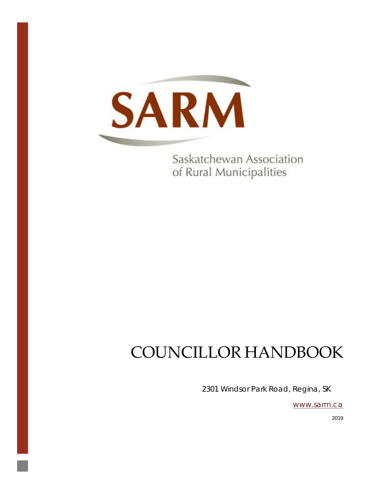

Saskatchewan Association of Rural Municipalities

# COUNCILLOR HANDBOOK

2301 Windsor Park Road, Regina, SK

[www.sarm.ca](http://www.sarm.ca/)

2019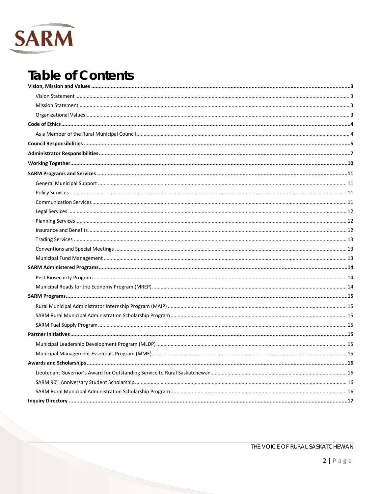

## **Table of Contents**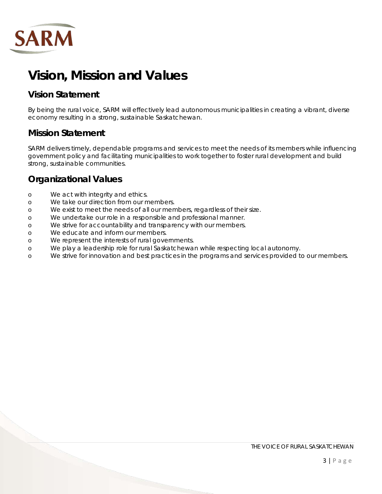

## <span id="page-2-0"></span>**Vision, Mission and Values**

## <span id="page-2-1"></span>**Vision Statement**

By being the rural voice, SARM will effectively lead autonomous municipalities in creating a vibrant, diverse economy resulting in a strong, sustainable Saskatchewan.

## <span id="page-2-2"></span>**Mission Statement**

SARM delivers timely, dependable programs and services to meet the needs of its members while influencing government policy and facilitating municipalities to work together to foster rural development and build strong, sustainable communities.

## <span id="page-2-3"></span>**Organizational Values**

- o We act with integrity and ethics.
- o We take our direction from our members.
- o We exist to meet the needs of all our members, regardless of their size.
- o We undertake our role in a responsible and professional manner.
- o We strive for accountability and transparency with our members.
- o We educate and inform our members.
- o We represent the interests of rural governments.
- o We play a leadership role for rural Saskatchewan while respecting local autonomy.
- o We strive for innovation and best practices in the programs and services provided to our members.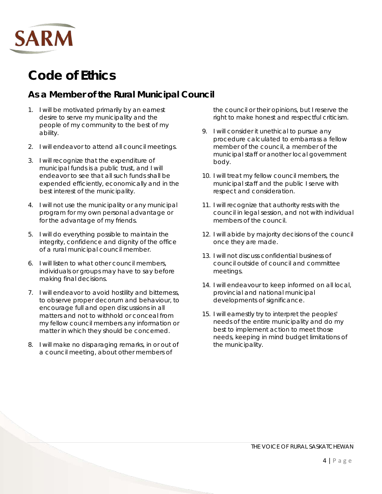

## <span id="page-3-0"></span>**Code of Ethics**

## <span id="page-3-1"></span>**As a Member of the Rural Municipal Council**

- 1. I will be motivated primarily by an earnest desire to serve my municipality and the people of my community to the best of my ability.
- 2. I will endeavor to attend all council meetings.
- 3. I will recognize that the expenditure of municipal funds is a public trust, and I will endeavor to see that all such funds shall be expended efficiently, economically and in the best interest of the municipality.
- 4. I will not use the municipality or any municipal program for my own personal advantage or for the advantage of my friends.
- 5. I will do everything possible to maintain the integrity, confidence and dignity of the office of a rural municipal council member.
- 6. I will listen to what other council members, individuals or groups may have to say before making final decisions.
- 7. I will endeavor to avoid hostility and bitterness, to observe proper decorum and behaviour, to encourage full and open discussions in all matters and not to withhold or conceal from my fellow council members any information or matter in which they should be concerned.
- 8. I will make no disparaging remarks, in or out of a council meeting, about other members of

the council or their opinions, but I reserve the right to make honest and respectful criticism.

- 9. I will consider it unethical to pursue any procedure calculated to embarrass a fellow member of the council, a member of the municipal staff or another local government body.
- 10. I will treat my fellow council members, the municipal staff and the public I serve with respect and consideration.
- 11. I will recognize that authority rests with the council in legal session, and not with individual members of the council.
- 12. I will abide by majority decisions of the council once they are made.
- 13. I will not discuss confidential business of council outside of council and committee meetings.
- 14. I will endeavour to keep informed on all local, provincial and national municipal developments of significance.
- 15. I will earnestly try to interpret the peoples' needs of the entire municipality and do my best to implement action to meet those needs, keeping in mind budget limitations of the municipality.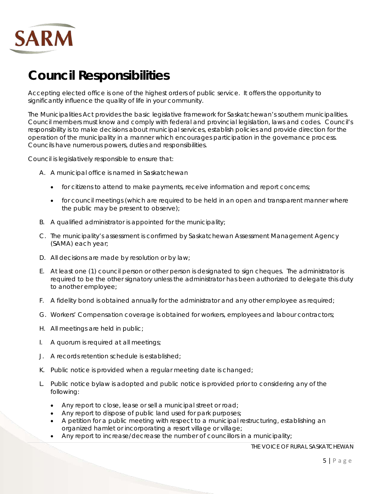

## <span id="page-4-0"></span>**Council Responsibilities**

Accepting elected office is one of the highest orders of public service. It offers the opportunity to significantly influence the quality of life in your community.

The Municipalities Act provides the basic legislative framework for Saskatchewan's southern municipalities. Council members must know and comply with federal and provincial legislation, laws and codes. Council's responsibility is to make decisions about municipal services, establish policies and provide direction for the operation of the municipality in a manner which encourages participation in the governance process. Councils have numerous powers, duties and responsibilities.

Council is legislatively responsible to ensure that:

- A. A municipal office is named in Saskatchewan
	- for citizens to attend to make payments, receive information and report concerns;
	- for council meetings (which are required to be held in an open and transparent manner where the public may be present to observe);
- B. A qualified administrator is appointed for the municipality;
- C. The municipality's assessment is confirmed by Saskatchewan Assessment Management Agency (SAMA) each year;
- D. All decisions are made by resolution or by law;
- E. At least one (1) council person or other person is designated to sign cheques. The administrator is required to be the other signatory unless the administrator has been authorized to delegate this duty to another employee;
- F. A fidelity bond is obtained annually for the administrator and any other employee as required;
- G. Workers' Compensation coverage is obtained for workers, employees and labour contractors;
- H. All meetings are held in public;
- I. A quorum is required at all meetings;
- J. A records retention schedule is established;
- K. Public notice is provided when a regular meeting date is changed;
- L. Public notice bylaw is adopted and public notice is provided prior to considering any of the following:
	- Any report to close, lease or sell a municipal street or road;
	- Any report to dispose of public land used for park purposes;
	- A petition for a public meeting with respect to a municipal restructuring, establishing an organized hamlet or incorporating a resort village or village;
	- Any report to increase/decrease the number of councillors in a municipality;

THE VOICE OF RURAL SASKATCHEWAN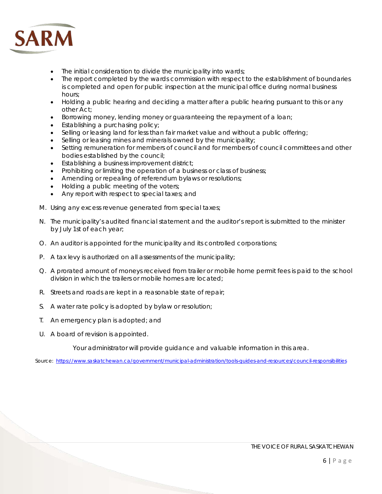

- The initial consideration to divide the municipality into wards;
- The report completed by the wards commission with respect to the establishment of boundaries is completed and open for public inspection at the municipal office during normal business hours;
- Holding a public hearing and deciding a matter after a public hearing pursuant to this or any other Act;
- Borrowing money, lending money or guaranteeing the repayment of a loan;
- Establishing a purchasing policy;
- Selling or leasing land for less than fair market value and without a public offering;
- Selling or leasing mines and minerals owned by the municipality;
- Setting remuneration for members of council and for members of council committees and other bodies established by the council;
- Establishing a business improvement district;
- Prohibiting or limiting the operation of a business or class of business;
- Amending or repealing of referendum bylaws or resolutions;
- Holding a public meeting of the voters;
- Any report with respect to special taxes; and
- M. Using any excess revenue generated from special taxes;
- N. The municipality's audited financial statement and the auditor's report is submitted to the minister by July 1st of each year;
- O. An auditor is appointed for the municipality and its controlled corporations;
- P. A tax levy is authorized on all assessments of the municipality;
- Q. A prorated amount of moneys received from trailer or mobile home permit fees is paid to the school division in which the trailers or mobile homes are located;
- R. Streets and roads are kept in a reasonable state of repair;
- S. A water rate policy is adopted by bylaw or resolution;
- T. An emergency plan is adopted; and
- U. A board of revision is appointed.

Your administrator will provide guidance and valuable information in this area.

Source: <https://www.saskatchewan.ca/government/municipal-administration/tools-guides-and-resources/council-responsibilities>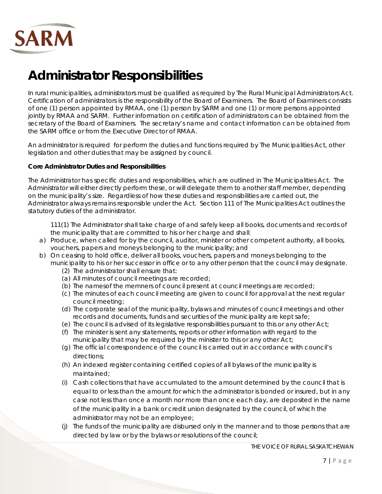

## <span id="page-6-0"></span>**Administrator Responsibilities**

In rural municipalities, administrators must be qualified as required by The Rural Municipal Administrators Act. Certification of administrators is the responsibility of the Board of Examiners. The Board of Examiners consists of one (1) person appointed by RMAA, one (1) person by SARM and one (1) or more persons appointed jointly by RMAA and SARM. Further information on certification of administrators can be obtained from the secretary of the Board of Examiners. The secretary's name and contact information can be obtained from the SARM office or from the Executive Director of RMAA.

An administrator is required for perform the duties and functions required by The Municipalities Act, other legislation and other duties that may be assigned by council.

#### **Core Administrator Duties and Responsibilities**

The Administrator has specific duties and responsibilities, which are outlined in The Municipalities Act. The Administrator will either directly perform these, or will delegate them to another staff member, depending on the municipality's size. Regardless of how these duties and responsibilities are carried out, the Administrator always remains responsible under the Act. Section 111 of The Municipalities Act outlines the statutory duties of the administrator.

*111(1) The Administrator shall take charge of and safely keep all books, documents and records of the municipality that are committed to his or her charge and shall:*

- *a) Produce, when called for by the council, auditor, minister or other competent authority, all books, vouchers, papers and moneys belonging to the municipality; and*
- *b) On ceasing to hold office, deliver all books, vouchers, papers and moneys belonging to the municipality to his or her successor in office or to any other person that the council may designate.*
	- *(2) The administrator shall ensure that:*
	- *(a) All minutes of council meetings are recorded;*
	- *(b) The namesof the memners of council present at council meetings are recorded;*
	- *(c) The minutes of each council meeting are given to council for approval at the next regular council meeting;*
	- *(d) The corporate seal of the municipality, bylaws and minutes of council meetings and other records and documents, funds and securities of the municipality are kept safe;*
	- *(e) The council is advised of its legislative responsibilities pursuant to this or any other Act;*
	- *(f) The minister is sent any statements, reports or other information with regard to the municipality that may be required by the minister to this or any other Act;*
	- *(g) The official correspondence of the council is carried out in accordance with council's directions;*
	- *(h) An indexed register containing certified copies of all bylaws of the municipality is maintained;*
	- *(i) Cash collections that have accumulated to the amount determined by the council that is equal to or less than the amount for which the administrator is bonded or insured, but in any case not less than once a month nor more than once each day, are deposited in the name of the municipality in a bank or credit union designated by the council, of which the administrator may not be an employee;*
	- *(j) The funds of the municipality are disbursed only in the manner and to those persons that are directed by law or by the bylaws or resolutions of the council;*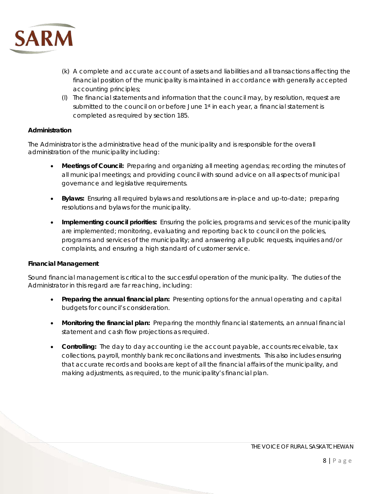

- *(k) A complete and accurate account of assets and liabilities and all transactions affecting the financial position of the municipality is maintained in accordance with generally accepted accounting principles;*
- *(l) The financial statements and information that the council may, by resolution, request are submitted to the council on or before June 1st in each year, a financial statement is completed as required by section 185.*

#### **Administration**

The Administrator is the administrative head of the municipality and is responsible for the overall administration of the municipality including:

- **Meetings of Council:** Preparing and organizing all meeting agendas; recording the minutes of all municipal meetings; and providing council with sound advice on all aspects of municipal governance and legislative requirements.
- **Bylaws:** Ensuring all required bylaws and resolutions are in-place and up-to-date; preparing resolutions and bylaws for the municipality.
- **Implementing council priorities:** Ensuring the policies, programs and services of the municipality are implemented; monitoring, evaluating and reporting back to council on the policies, programs and services of the municipality; and answering all public requests, inquiries and/or complaints, and ensuring a high standard of customer service.

#### **Financial Management**

Sound financial management is critical to the successful operation of the municipality. The duties of the Administrator in this regard are far reaching, including:

- **Preparing the annual financial plan:** Presenting options for the annual operating and capital budgets for council's consideration.
- **Monitoring the financial plan:** Preparing the monthly financial statements, an annual financial statement and cash flow projections as required.
- **Controlling:** The day to day accounting i.e the account payable, accounts receivable, tax collections, payroll, monthly bank reconciliations and investments. This also includes ensuring that accurate records and books are kept of all the financial affairs of the municipality, and making adjustments, as required, to the municipality's financial plan.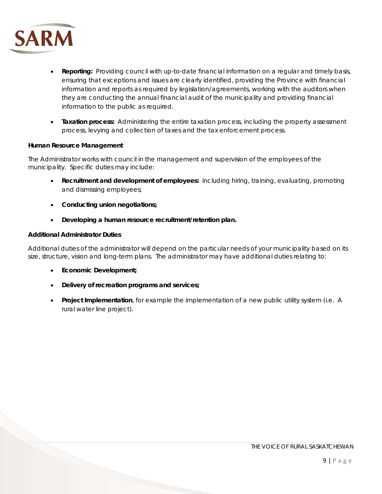

- **Reporting:** Providing council with up-to-date financial information on a regular and timely basis, ensuring that exceptions and issues are clearly identified, providing the Province with financial information and reports as required by legislation/agreements, working with the auditors when they are conducting the annual financial audit of the municipality and providing financial information to the public as required.
- **Taxation process:** Administering the entire taxation process, including the property assessment process, levying and collection of taxes and the tax enforcement process.

#### **Human Resource Management**

The Administrator works with council in the management and supervision of the employees of the municipality. Specific duties may include:

- **Recruitment and development of employees:** including hiring, training, evaluating, promoting and dismissing employees;
- **Conducting union negotiations;**
- **Developing a human resource recruitment/retention plan.**

#### **Additional Administrator Duties**

Additional duties of the administrator will depend on the particular needs of your municipality based on its size, structure, vision and long-term plans. The administrator may have additional duties relating to:

- **Economic Development;**
- **Delivery of recreation programs and services;**
- **Project Implementation**, for example the implementation of a new public utility system (i.e. A rural water line project).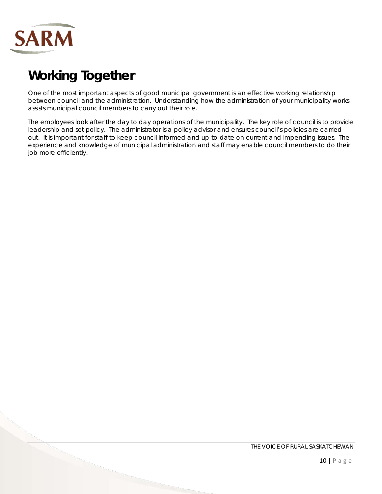

## <span id="page-9-0"></span>**Working Together**

One of the most important aspects of good municipal government is an effective working relationship between council and the administration. Understanding how the administration of your municipality works assists municipal council members to carry out their role.

The employees look after the day to day operations of the municipality. The key role of council is to provide leadership and set policy. The administrator is a policy advisor and ensures council's policies are carried out. It is important for staff to keep council informed and up-to-date on current and impending issues. The experience and knowledge of municipal administration and staff may enable council members to do their job more efficiently.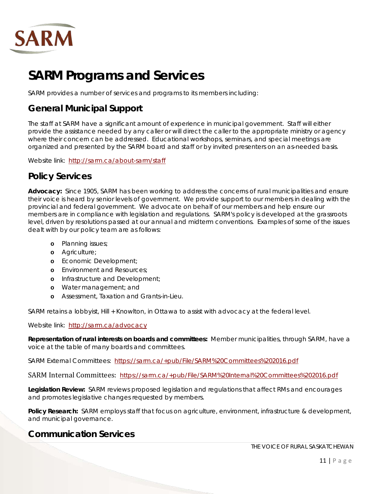

## <span id="page-10-0"></span>**SARM Programs and Services**

SARM provides a number of services and programs to its members including:

### <span id="page-10-1"></span>**General Municipal Support**

The staff at SARM have a significant amount of experience in municipal government. Staff will either provide the assistance needed by any caller or will direct the caller to the appropriate ministry or agency where their concern can be addressed. Educational workshops, seminars, and special meetings are organized and presented by the SARM board and staff or by invited presenters on an as-needed basis.

Website link: <http://sarm.ca/about-sarm/staff>

## <span id="page-10-2"></span>**Policy Services**

**Advocacy:** Since 1905, SARM has been working to address the concerns of rural municipalities and ensure their voice is heard by senior levels of government. We provide support to our members in dealing with the provincial and federal government. We advocate on behalf of our members and help ensure our members are in compliance with legislation and regulations. SARM's policy is developed at the grassroots level, driven by resolutions passed at our annual and midterm conventions. Examples of some of the issues dealt with by our policy team are as follows:

- **o** Planning issues;
- **o** Agriculture;
- **o** Economic Development;
- **o** Environment and Resources;
- **o** Infrastructure and Development;
- **o** Water management; and
- **o** Assessment, Taxation and Grants-in-Lieu.

SARM retains a lobbyist, Hill + Knowlton, in Ottawa to assist with advocacy at the federal level.

Website link: <http://sarm.ca/advocacy>

**Representation of rural interests on boards and committees:** Member municipalities, through SARM, have a voice at the table of many boards and committees.

SARM External Committees: <https://sarm.ca/+pub/File/SARM%20Committees%202016.pdf>

[SARM Internal Committees:](http://sarm.ca/+pub/File/SARM%20Internal%20Committees%202016.pdf) https://sarm.ca/+pub/File/SARM%20Internal%20Committees%202016.pdf

**Legislation Review:** SARM reviews proposed legislation and regulations that affect RMs and encourages and promotes legislative changes requested by members.

Policy Research: SARM employs staff that focus on agriculture, environment, infrastructure & development, and municipal governance.

### <span id="page-10-3"></span>**Communication Services**

THE VOICE OF RURAL SASKATCHEWAN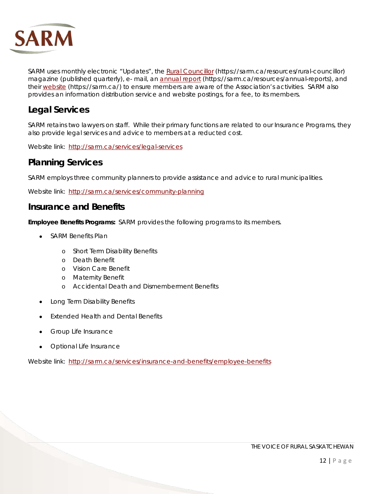

SARM uses monthly electronic "Updates", the *[Rural Councillor](http://sarm.ca/resources/rural-councillor)* (https://sarm.ca/resources/rural-councillor) magazine (published quarterly), e- mail, an [annual report](http://sarm.ca/resources/annual-reports) (https://sarm.ca/resources/annual-reports), and their [website](http://www.sarm.ca/) (https://sarm.ca/) to ensure members are aware of the Association's activities. SARM also provides an information distribution service and website postings, for a fee, to its members.

## <span id="page-11-0"></span>**Legal Services**

SARM retains two lawyers on staff. While their primary functions are related to our Insurance Programs, they also provide legal services and advice to members at a reducted cost.

Website link: <http://sarm.ca/services/legal-services>

### <span id="page-11-1"></span>**Planning Services**

SARM employs three community planners to provide assistance and advice to rural municipalities.

Website link: <http://sarm.ca/services/community-planning>

#### <span id="page-11-2"></span>**Insurance and Benefits**

**Employee Benefits Programs:** SARM provides the following programs to its members.

- SARM Benefits Plan
	- o Short Term Disability Benefits
	- o Death Benefit
	- o Vision Care Benefit
	- o Maternity Benefit
	- o Accidental Death and Dismemberment Benefits
- Long Term Disability Benefits
- Extended Health and Dental Benefits
- Group Life Insurance
- Optional Life Insurance

Website link: <http://sarm.ca/services/insurance-and-benefits/employee-benefits>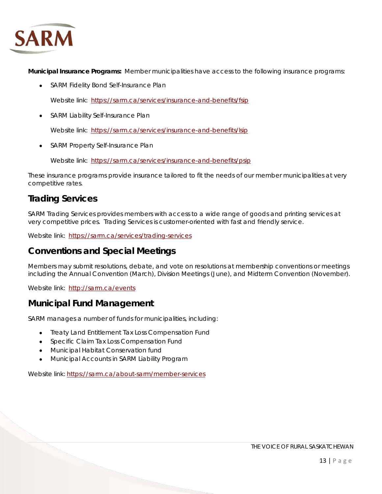

**Municipal Insurance Programs:** Member municipalities have access to the following insurance programs:

• [SARM Fidelity Bond Self-Insurance Plan](http://sarm.ca/services/insurance-and-benefits/fsip)

Website link: <https://sarm.ca/services/insurance-and-benefits/fsip>

• [SARM Liability Self-Insurance Plan](http://sarm.ca/services/insurance-and-benefits/fsip)

Website link: <https://sarm.ca/services/insurance-and-benefits/lsip>

• [SARM Property Self-Insurance Plan](http://sarm.ca/services/insurance-and-benefits/fsip)

Website link: <https://sarm.ca/services/insurance-and-benefits/psip>

These insurance programs provide insurance tailored to fit the needs of our member municipalities at very competitive rates.

## <span id="page-12-0"></span>**Trading Services**

SARM Trading Services provides members with access to a wide range of goods and printing services at very competitive prices. Trading Services is customer-oriented with fast and friendly service.

Website link: <https://sarm.ca/services/trading-services>

### <span id="page-12-1"></span>**Conventions and Special Meetings**

Members may submit resolutions, debate, and vote on resolutions at membership conventions or meetings including the Annual Convention (March), Division Meetings (June), and Midterm Convention (November).

Website link: <http://sarm.ca/events>

### <span id="page-12-2"></span>**Municipal Fund Management**

SARM manages a number of funds for municipalities, including:

- Treaty Land Entitlement Tax Loss Compensation Fund
- Specific Claim Tax Loss Compensation Fund
- Municipal Habitat Conservation fund
- Municipal Accounts in SARM Liability Program

Website link: https://sarm.ca/about-sarm/member-services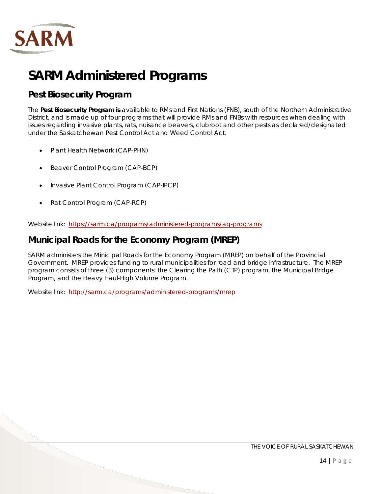

## <span id="page-13-0"></span>**SARM Administered Programs**

## <span id="page-13-1"></span>**Pest Biosecurity Program**

The **Pest Biosecurity Program is** available to RMs and First Nations (FNB), south of the Northern Administrative District, and is made up of four programs that will provide RMs and FNBs with resources when dealing with issues regarding invasive plants, rats, nuisance beavers, clubroot and other pests as declared/designated under the Saskatchewan Pest Control Act and Weed Control Act.

- [Plant Health Network \(CAP-PHN\)](https://sarm.ca/programs/administered-programs/ag-programs/cap-phn)
- [Beaver Control Program \(CAP-BCP\)](https://sarm.ca/programs/administered-programs/ag-programs/cap-bcp)
- [Invasive Plant Control Program \(CAP-IPCP\)](https://sarm.ca/programs/administered-programs/ag-programs/cap-ipcp)
- [Rat Control Program \(CAP-RCP\)](https://sarm.ca/programs/administered-programs/ag-programs/cap-rcp)

Website link: https://sarm.ca/programs/administered-programs/ag-programs

### <span id="page-13-2"></span>**Municipal Roads for the Economy Program (MREP)**

SARM administers the Minicipal Roads for the Economy Program (MREP) on behalf of the Provincial Government. MREP provides funding to rural municipalities for road and bridge infrastructure. The MREP program consists of three (3) components: the Clearing the Path (CTP) program, the Municipal Bridge Program, and the Heavy Haul-High Volume Program.

Website link: <http://sarm.ca/programs/administered-programs/mrep>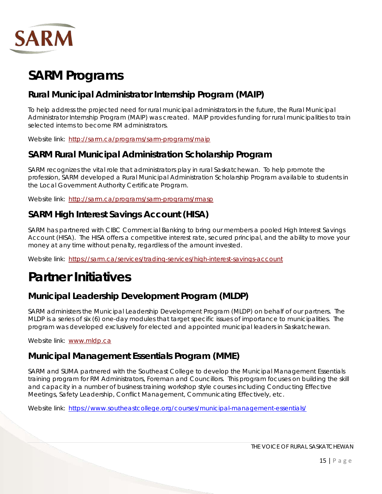

## <span id="page-14-0"></span>**SARM Programs**

## <span id="page-14-1"></span>**Rural Municipal Administrator Internship Program (MAIP)**

To help address the projected need for rural municipal administrators in the future, the Rural Municipal Administrator Internship Program (MAIP) was created. MAIP provides funding for rural municipalities to train selected interns to become RM administrators.

Website link: <http://sarm.ca/programs/sarm-programs/maip>

### <span id="page-14-2"></span>**SARM Rural Municipal Administration Scholarship Program**

SARM recognizes the vital role that administrators play in rural Saskatchewan. To help promote the profession, SARM developed a Rural Municipal Administration Scholarship Program available to students in the Local Government Authority Certificate Program.

Website link: <http://sarm.ca/programs/sarm-programs/rmasp>

### <span id="page-14-3"></span>**SARM High Interest Savings Account (HISA)**

SARM has partnered with CIBC Commercial Banking to bring our members a pooled High Interest Savings Account (HISA). The HISA offers a competitive interest rate, secured principal, and the ability to move your money at any time without penalty, regardless of the amount invested.

Website link: https://sarm.ca/services/trading-services/high-interest-savings-account

## <span id="page-14-4"></span>**Partner Initiatives**

## <span id="page-14-5"></span>**Municipal Leadership Development Program (MLDP)**

SARM administers the Municipal Leadership Development Program (MLDP) on behalf of our partners. The MLDP is a series of six (6) one-day modules that target specific issues of importance to municipalities. The program was developed exclusively for elected and appointed municipal leaders in Saskatchewan.

Website link: www.mldp.ca

### <span id="page-14-6"></span>**Municipal Management Essentials Program (MME)**

SARM and SUMA partnered with the Southeast College to develop the Municipal Management Essentials training program for RM Administrators, Foreman and Councillors. This program focuses on building the skill and capacity in a number of business training workshop style courses including Conducting Effective Meetings, Safety Leadership, Conflict Management, Communicating Effectively, etc.

Website link: <https://www.southeastcollege.org/courses/municipal-management-essentials/>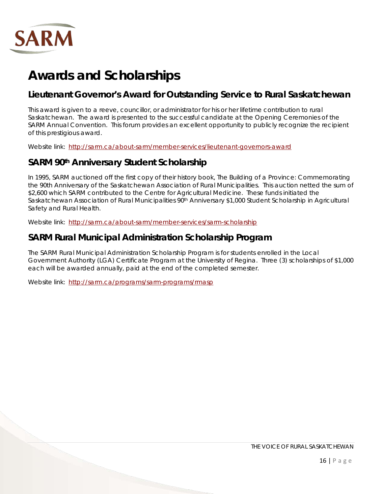

## <span id="page-15-0"></span>**Awards and Scholarships**

### <span id="page-15-1"></span>**Lieutenant Governor's Award for Outstanding Service to Rural Saskatchewan**

This award is given to a reeve, councillor, or administrator for his or her lifetime contribution to rural Saskatchewan. The award is presented to the successful candidate at the Opening Ceremonies of the SARM Annual Convention. This forum provides an excellent opportunity to publicly recognize the recipient of this prestigious award.

Website link: <http://sarm.ca/about-sarm/member-services/lieutenant-governors-award>

## <span id="page-15-2"></span>**SARM 90th Anniversary Student Scholarship**

In 1995, SARM auctioned off the first copy of their history book, *The Building of a Province: Commemorating the 90th Anniversary of the Saskatchewan Association of Rural Municipalities*. This auction netted the sum of \$2,600 which SARM contributed to the Centre for Agricultural Medicine. These funds initiated the Saskatchewan Association of Rural Municipalities 90<sup>th</sup> Anniversary \$1,000 Student Scholarship in Agricultural Safety and Rural Health.

Website link: <http://sarm.ca/about-sarm/member-services/sarm-scholarship>

## <span id="page-15-3"></span>**SARM Rural Municipal Administration Scholarship Program**

The SARM Rural Municipal Administration Scholarship Program is for students enrolled in the Local Government Authority (LGA) Certificate Program at the University of Regina. Three (3) scholarships of \$1,000 each will be awarded annually, paid at the end of the completed semester.

Website link: <http://sarm.ca/programs/sarm-programs/rmasp>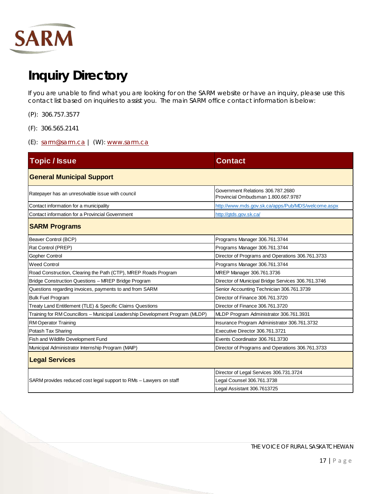

## <span id="page-16-0"></span>**Inquiry Directory**

If you are unable to find what you are looking for on the SARM website or have an inquiry, please use this contact list based on inquiries to assist you. The main SARM office contact information is below:

- (P): 306.757.3577
- (F): 306.565.2141
- (E): [sarm@sarm.ca](mailto:sarm@sarm.ca) | (W): www.sarm.ca

| <b>Topic / Issue</b>                                                          | <b>Contact</b>                                                           |  |
|-------------------------------------------------------------------------------|--------------------------------------------------------------------------|--|
| <b>General Municipal Support</b>                                              |                                                                          |  |
| Ratepayer has an unresolvable issue with council                              | Government Relations 306.787.2680<br>Provincial Ombudsman 1.800.667.9787 |  |
| Contact information for a municipality                                        | http://www.mds.gov.sk.ca/apps/Pub/MDS/welcome.aspx                       |  |
| Contact information for a Provincial Government                               | http://gtds.gov.sk.ca/                                                   |  |
| <b>SARM Programs</b>                                                          |                                                                          |  |
| Beaver Control (BCP)                                                          | Programs Manager 306.761.3744                                            |  |
| Rat Control (PREP)                                                            | Programs Manager 306.761.3744                                            |  |
| <b>Gopher Control</b>                                                         | Director of Programs and Operations 306.761.3733                         |  |
| <b>Weed Control</b>                                                           | Programs Manager 306.761.3744                                            |  |
| Road Construction, Clearing the Path (CTP), MREP Roads Program                | MREP Manager 306.761.3736                                                |  |
| Bridge Construction Questions - MREP Bridge Program                           | Director of Municipal Bridge Services 306.761.3746                       |  |
| Questions regarding invoices, payments to and from SARM                       | Senior Accounting Technician 306.761.3739                                |  |
| <b>Bulk Fuel Program</b>                                                      | Director of Finance 306.761.3720                                         |  |
| Treaty Land Entitlement (TLE) & Specific Claims Questions                     | Director of Finance 306.761.3720                                         |  |
| Training for RM Councillors - Municipal Leadership Development Program (MLDP) | MLDP Program Administrator 306.761.3931                                  |  |
| <b>RM Operator Training</b>                                                   | Insurance Program Administrator 306.761.3732                             |  |
| Potash Tax Sharing                                                            | Executive Director 306.761.3721                                          |  |
| Fish and Wildlife Development Fund                                            | Events Coordinator 306.761.3730                                          |  |
| Municipal Administrator Internship Program (MAIP)                             | Director of Programs and Operations 306.761.3733                         |  |
| <b>Legal Services</b>                                                         |                                                                          |  |
| SARM provides reduced cost legal support to RMs - Lawyers on staff            | Director of Legal Services 306.731.3724                                  |  |
|                                                                               | Legal Counsel 306.761.3738                                               |  |
|                                                                               | Legal Assistant 306.7613725                                              |  |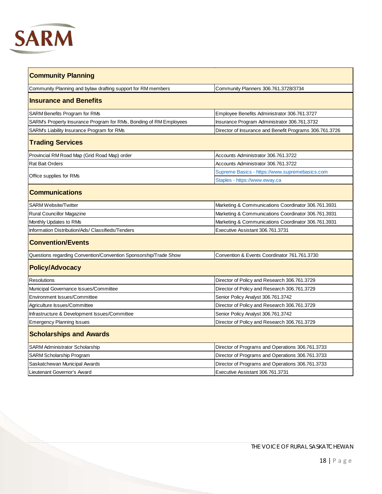

| <b>Community Planning</b>                                          |                                                         |  |
|--------------------------------------------------------------------|---------------------------------------------------------|--|
| Community Planning and bylaw drafting support for RM members       | Community Planners 306.761.3728/3734                    |  |
| <b>Insurance and Benefits</b>                                      |                                                         |  |
| SARM Benefits Program for RMs                                      | Employee Benefits Administrator 306.761.3727            |  |
| SARM's Property Insurance Program for RMs, Bonding of RM Employees | Insurance Program Administrator 306.761.3732            |  |
| SARM's Liability Insurance Program for RMs                         | Director of Insurance and Benefit Programs 306.761.3726 |  |
| <b>Trading Services</b>                                            |                                                         |  |
| Provincial RM Road Map (Grid Road Map) order                       | Accounts Administrator 306.761.3722                     |  |
| Rat Bait Orders                                                    | Accounts Administrator 306.761.3722                     |  |
|                                                                    | Supreme Basics - https://www.supremebasics.com          |  |
| Office supplies for RMs                                            | Staples - https://www.eway.ca                           |  |
| <b>Communications</b>                                              |                                                         |  |
| <b>SARM Website/Twitter</b>                                        | Marketing & Communications Coordinator 306.761.3931     |  |
| Rural Councillor Magazine                                          | Marketing & Communications Coordinator 306.761.3931     |  |
| Monthly Updates to RMs                                             | Marketing & Communications Coordinator 306.761.3931     |  |
| Information Distribution/Ads/ Classifieds/Tenders                  | Executive Assistant 306.761.3731                        |  |
| <b>Convention/Events</b>                                           |                                                         |  |
| Questions regarding Convention/Convention Sponsorship/Trade Show   | Convention & Events Coordinator 761.761.3730            |  |
| <b>Policy/Advocacy</b>                                             |                                                         |  |
| <b>Resolutions</b>                                                 | Director of Policy and Research 306.761.3729            |  |
| Municipal Governance Issues/Committee                              | Director of Policy and Research 306.761.3729            |  |
| Environment Issues/Committee                                       | Senior Policy Analyst 306.761.3742                      |  |
| Agriculture Issues/Committee                                       | Director of Policy and Research 306.761.3729            |  |
| Infrastructure & Development Issues/Committee                      | Senior Policy Analyst 306.761.3742                      |  |
| <b>Emergency Planning Issues</b>                                   | Director of Policy and Research 306.761.3729            |  |
| <b>Scholarships and Awards</b>                                     |                                                         |  |
| SARM Administrator Scholarship                                     | Director of Programs and Operations 306.761.3733        |  |
| SARM Scholarship Program                                           | Director of Programs and Operations 306.761.3733        |  |
| Saskatchewan Municipal Awards                                      | Director of Programs and Operations 306.761.3733        |  |
| Lieutenant Governor's Award                                        | Executive Assistant 306.761.3731                        |  |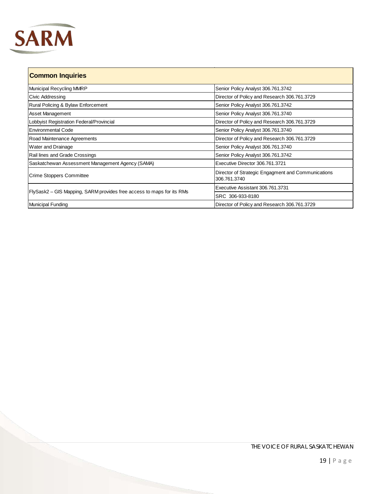

| <b>Common Inquiries</b>                                               |                                                                    |  |
|-----------------------------------------------------------------------|--------------------------------------------------------------------|--|
| Municipal Recycling MMRP                                              | Senior Policy Analyst 306.761.3742                                 |  |
| Civic Addressing                                                      | Director of Policy and Research 306.761.3729                       |  |
| Rural Policing & Bylaw Enforcement                                    | Senior Policy Analyst 306.761.3742                                 |  |
| <b>Asset Management</b>                                               | Senior Policy Analyst 306.761.3740                                 |  |
| Lobbyist Registration Federal/Provincial                              | Director of Policy and Research 306.761.3729                       |  |
| <b>IEnvironmental Code</b>                                            | Senior Policy Analyst 306.761.3740                                 |  |
| Road Maintenance Agreements                                           | Director of Policy and Research 306.761.3729                       |  |
| Water and Drainage                                                    | Senior Policy Analyst 306.761.3740                                 |  |
| Rail lines and Grade Crossings                                        | Senior Policy Analyst 306.761.3742                                 |  |
| Saskatchewan Assessment Management Agency (SAMA)                      | Executive Director 306.761.3721                                    |  |
| <b>Crime Stoppers Committee</b>                                       | Director of Strategic Engagment and Communications<br>306.761.3740 |  |
| FlySask2 – GIS Mapping, SARM provides free access to maps for its RMs | Executive Assistant 306.761.3731                                   |  |
|                                                                       | SRC 306-933-8180                                                   |  |
| <b>Municipal Funding</b>                                              | Director of Policy and Research 306.761.3729                       |  |